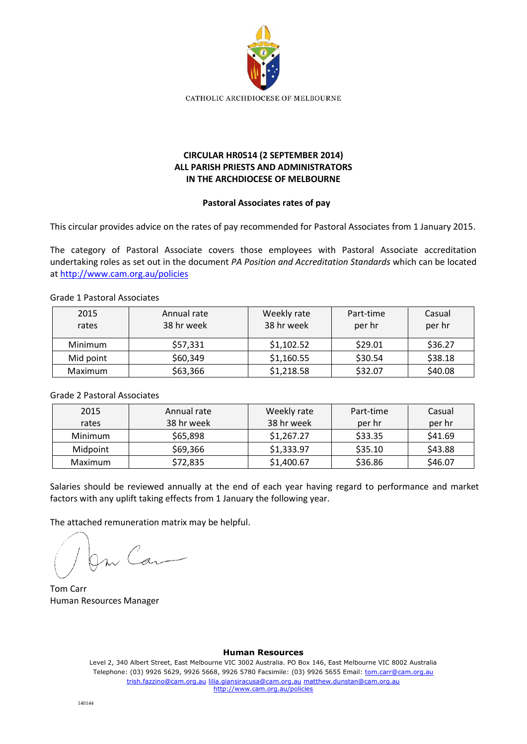

# **CIRCULAR HR0514 (2 SEPTEMBER 2014) ALL PARISH PRIESTS AND ADMINISTRATORS IN THE ARCHDIOCESE OF MELBOURNE**

#### **Pastoral Associates rates of pay**

This circular provides advice on the rates of pay recommended for Pastoral Associates from 1 January 2015.

The category of Pastoral Associate covers those employees with Pastoral Associate accreditation undertaking roles as set out in the document *PA Position and Accreditation Standards* which can be located at<http://www.cam.org.au/policies>

### Grade 1 Pastoral Associates

| 2015<br>rates | Annual rate<br>38 hr week | Weekly rate<br>38 hr week | Part-time<br>per hr | Casual<br>per hr |
|---------------|---------------------------|---------------------------|---------------------|------------------|
| Minimum       | \$57,331                  | \$1,102.52                | \$29.01             | \$36.27          |
| Mid point     | \$60,349                  | \$1,160.55                | \$30.54             | \$38.18          |
| Maximum       | \$63,366                  | \$1,218.58                | \$32.07             | \$40.08          |

### Grade 2 Pastoral Associates

| 2015                 | Annual rate | Weekly rate | Part-time | Casual  |
|----------------------|-------------|-------------|-----------|---------|
| rates                | 38 hr week  | 38 hr week  | per hr    | per hr  |
| Minimum              | \$65,898    | \$1,267.27  | \$33.35   | \$41.69 |
| \$69,366<br>Midpoint |             | \$1,333.97  | \$35.10   | \$43.88 |
| Maximum              | \$72,835    | \$1,400.67  | \$36.86   | \$46.07 |

Salaries should be reviewed annually at the end of each year having regard to performance and market factors with any uplift taking effects from 1 January the following year.

The attached remuneration matrix may be helpful.

On Can

Tom Carr Human Resources Manager

#### **Human Resources**

Level 2, 340 Albert Street, East Melbourne VIC 3002 Australia. PO Box 146, East Melbourne VIC 8002 Australia Telephone: (03) 9926 5629, 9926 5668, 9926 5780 Facsimile: (03) 9926 5655 Email: tom.carr@cam.org.au trish.fazzino@cam.org.au lilia.giansiracusa@cam.org.au matthew.dunstan@cam.org.au http://www.cam.org.au/policies